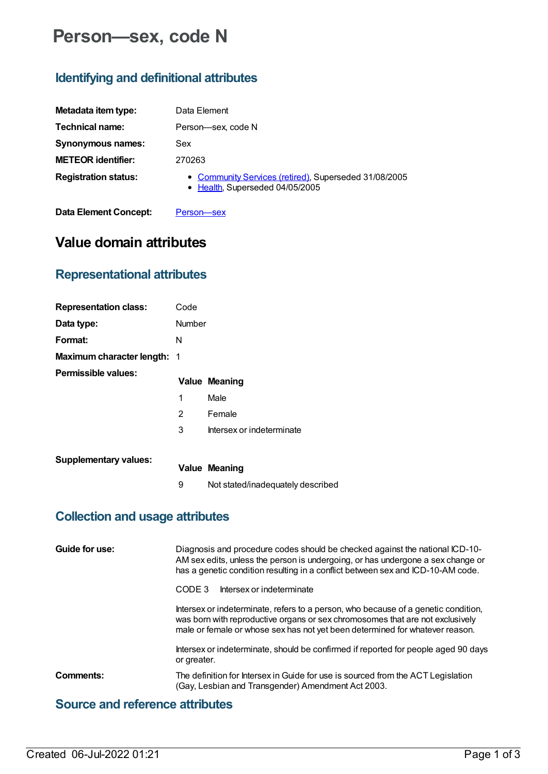# **Person—sex, code N**

## **Identifying and definitional attributes**

| Metadata item type:         | Data Element                                                                             |
|-----------------------------|------------------------------------------------------------------------------------------|
| Technical name:             | Person-sex, code N                                                                       |
| <b>Synonymous names:</b>    | Sex                                                                                      |
| <b>METEOR identifier:</b>   | 270263                                                                                   |
| <b>Registration status:</b> | • Community Services (retired), Superseded 31/08/2005<br>• Health, Superseded 04/05/2005 |

**Data Element Concept:** Person-sex

## **Value domain attributes**

## **Representational attributes**

| <b>Representation class:</b>       | Code   |                                   |
|------------------------------------|--------|-----------------------------------|
| Data type:                         | Number |                                   |
| Format:                            | N      |                                   |
| <b>Maximum character length: 1</b> |        |                                   |
| Permissible values:                |        | <b>Value Meaning</b>              |
|                                    | 1      | Male                              |
|                                    | 2      | Female                            |
|                                    | 3      | Intersex or indeterminate         |
| <b>Supplementary values:</b>       |        | <b>Value Meaning</b>              |
|                                    | 9      | Not stated/inadequately described |

#### **Collection and usage attributes**

| Guide for use: | Diagnosis and procedure codes should be checked against the national ICD-10-<br>AM sex edits, unless the person is undergoing, or has undergone a sex change or<br>has a genetic condition resulting in a conflict between sex and ICD-10-AM code.  |
|----------------|-----------------------------------------------------------------------------------------------------------------------------------------------------------------------------------------------------------------------------------------------------|
|                | Intersex or indeterminate<br>CODE 3                                                                                                                                                                                                                 |
|                | Intersex or indeterminate, refers to a person, who because of a genetic condition,<br>was born with reproductive organs or sex chromosomes that are not exclusively<br>male or female or whose sex has not yet been determined for whatever reason. |
|                | Intersex or indeterminate, should be confirmed if reported for people aged 90 days<br>or greater.                                                                                                                                                   |
| Comments:      | The definition for Intersex in Guide for use is sourced from the ACT Legislation<br>(Gay, Lesbian and Transgender) Amendment Act 2003.                                                                                                              |

## **Source and reference attributes**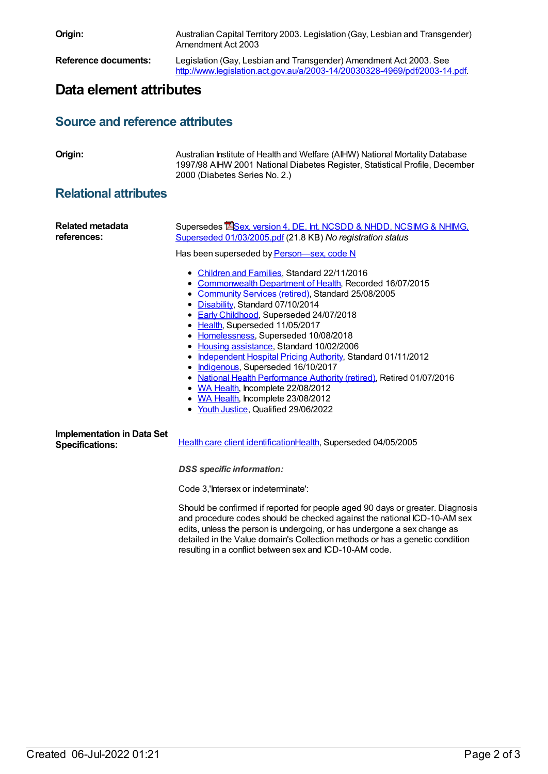| Origin:                                                     | Australian Capital Territory 2003. Legislation (Gay, Lesbian and Transgender)<br>Amendment Act 2003                                                                                                                                                                                                                                                                                                                                                                                                                                                                                                                                                                             |  |
|-------------------------------------------------------------|---------------------------------------------------------------------------------------------------------------------------------------------------------------------------------------------------------------------------------------------------------------------------------------------------------------------------------------------------------------------------------------------------------------------------------------------------------------------------------------------------------------------------------------------------------------------------------------------------------------------------------------------------------------------------------|--|
| <b>Reference documents:</b>                                 | Legislation (Gay, Lesbian and Transgender) Amendment Act 2003. See<br>http://www.legislation.act.gov.au/a/2003-14/20030328-4969/pdf/2003-14.pdf.                                                                                                                                                                                                                                                                                                                                                                                                                                                                                                                                |  |
| Data element attributes                                     |                                                                                                                                                                                                                                                                                                                                                                                                                                                                                                                                                                                                                                                                                 |  |
| <b>Source and reference attributes</b>                      |                                                                                                                                                                                                                                                                                                                                                                                                                                                                                                                                                                                                                                                                                 |  |
| Origin:                                                     | Australian Institute of Health and Welfare (AIHW) National Mortality Database<br>1997/98 AIHW 2001 National Diabetes Register, Statistical Profile, December<br>2000 (Diabetes Series No. 2.)                                                                                                                                                                                                                                                                                                                                                                                                                                                                                   |  |
| <b>Relational attributes</b>                                |                                                                                                                                                                                                                                                                                                                                                                                                                                                                                                                                                                                                                                                                                 |  |
| Related metadata<br>references:                             | Supersedes <b>ESex, version 4, DE, Int. NCSDD &amp; NHDD, NCSIMG &amp; NHIMG,</b><br>Superseded 01/03/2005.pdf (21.8 KB) No registration status                                                                                                                                                                                                                                                                                                                                                                                                                                                                                                                                 |  |
|                                                             | Has been superseded by Person-sex, code N                                                                                                                                                                                                                                                                                                                                                                                                                                                                                                                                                                                                                                       |  |
|                                                             | • Children and Families, Standard 22/11/2016<br>• Commonwealth Department of Health, Recorded 16/07/2015<br>• Community Services (retired), Standard 25/08/2005<br>• Disability, Standard 07/10/2014<br>• Early Childhood, Superseded 24/07/2018<br>• Health, Superseded 11/05/2017<br>• Homelessness, Superseded 10/08/2018<br>• Housing assistance, Standard 10/02/2006<br>• Independent Hospital Pricing Authority, Standard 01/11/2012<br>• Indigenous, Superseded 16/10/2017<br>• National Health Performance Authority (retired), Retired 01/07/2016<br>• WA Health, Incomplete 22/08/2012<br>• WA Health, Incomplete 23/08/2012<br>• Youth Justice, Qualified 29/06/2022 |  |
| <b>Implementation in Data Set</b><br><b>Specifications:</b> | Health care client identificationHealth, Superseded 04/05/2005                                                                                                                                                                                                                                                                                                                                                                                                                                                                                                                                                                                                                  |  |
|                                                             | <b>DSS</b> specific information:                                                                                                                                                                                                                                                                                                                                                                                                                                                                                                                                                                                                                                                |  |
|                                                             | Code 3, Intersex or indeterminate':                                                                                                                                                                                                                                                                                                                                                                                                                                                                                                                                                                                                                                             |  |
|                                                             | Should be confirmed if reported for people aged 90 days or greater. Diagnosis                                                                                                                                                                                                                                                                                                                                                                                                                                                                                                                                                                                                   |  |

Should be confirmed if reported for people aged 90 days or greater. Diagnosis and procedure codes should be checked against the national ICD-10-AM sex edits, unless the person is undergoing, or has undergone a sex change as detailed in the Value domain's Collection methods or has a genetic condition resulting in a conflict between sex and ICD-10-AM code.